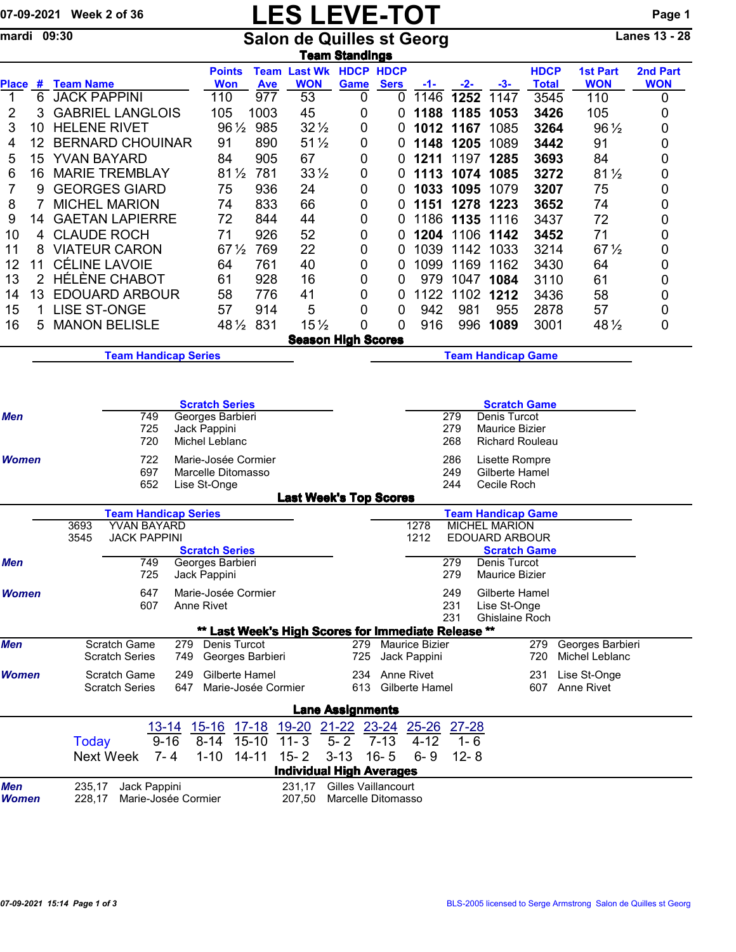## 07-09-2021 Week 2 of 36 **LES LEVE-TOT** Page 1

mardi 09:30 Salon de Quilles st Georg Lanes 13 - 28

|              |                                                         |                                                                                                                                |                                                                         |  |                                                     |                                                                                             |                                                                                     | <b>Team Standings</b>                            |                      |                                  |                                     |                                                                                             |                                    |                               |                        |  |  |  |
|--------------|---------------------------------------------------------|--------------------------------------------------------------------------------------------------------------------------------|-------------------------------------------------------------------------|--|-----------------------------------------------------|---------------------------------------------------------------------------------------------|-------------------------------------------------------------------------------------|--------------------------------------------------|----------------------|----------------------------------|-------------------------------------|---------------------------------------------------------------------------------------------|------------------------------------|-------------------------------|------------------------|--|--|--|
|              |                                                         | Place # Team Name                                                                                                              |                                                                         |  | <b>Points</b><br><b>Won</b>                         | <b>Ave</b>                                                                                  | <b>Team Last Wk HDCP HDCP</b><br><b>WON</b>                                         | Game                                             | <b>Sers</b>          | -1-                              | $-2-$                               | $-3-$                                                                                       | <b>HDCP</b><br><b>Total</b>        | <b>1st Part</b><br><b>WON</b> | 2nd Part<br><b>WON</b> |  |  |  |
| 1            | 6                                                       | <b>JACK PAPPINI</b>                                                                                                            |                                                                         |  | 110                                                 | 977                                                                                         | 53                                                                                  | 0                                                | 0                    | 1146                             | 1252                                | 1147                                                                                        | 3545                               | 110                           | 0                      |  |  |  |
| 2            | 3                                                       |                                                                                                                                | <b>GABRIEL LANGLOIS</b>                                                 |  | 105                                                 | 1003                                                                                        | 45                                                                                  | 0                                                | 0                    | 1188                             | 1185                                | 1053                                                                                        | 3426                               | 105                           | 0                      |  |  |  |
| 3            | 10                                                      | <b>HELENE RIVET</b>                                                                                                            |                                                                         |  | $96\frac{1}{2}$                                     | 985                                                                                         | $32\frac{1}{2}$                                                                     | 0                                                | 0                    | 1012                             | 1167                                | 1085                                                                                        | 3264                               | 96 1/2                        | 0                      |  |  |  |
| 4            | 12                                                      |                                                                                                                                | <b>BERNARD CHOUINAR</b>                                                 |  | 91                                                  | 890                                                                                         | $51\frac{1}{2}$                                                                     | 0                                                | 0                    | 1148                             | 1205                                | 1089                                                                                        | 3442                               | 91                            | 0                      |  |  |  |
| 5            | 15                                                      | <b>YVAN BAYARD</b><br>84                                                                                                       |                                                                         |  |                                                     | 905                                                                                         | 67                                                                                  | 0                                                | 0                    | 1211                             | 1197                                | 1285                                                                                        | 3693                               | 84                            | 0                      |  |  |  |
| 6            | 16                                                      |                                                                                                                                | <b>MARIE TREMBLAY</b>                                                   |  | $81\frac{1}{2}$                                     | 781                                                                                         | $33\frac{1}{2}$                                                                     | 0                                                | 0                    | 1113                             |                                     | 1074 1085                                                                                   | 3272                               | $81\frac{1}{2}$               | 0                      |  |  |  |
| 7            | 9                                                       |                                                                                                                                | <b>GEORGES GIARD</b>                                                    |  | 75                                                  | 936                                                                                         | 24                                                                                  | 0                                                | 0                    | 1033                             | 1095                                | 1079                                                                                        | 3207                               | 75                            | 0                      |  |  |  |
| 8            | 7                                                       |                                                                                                                                | <b>MICHEL MARION</b>                                                    |  | 74                                                  | 833                                                                                         | 66                                                                                  | 0                                                | 0                    | 1151                             | 1278                                | 1223                                                                                        | 3652                               | 74                            | 0                      |  |  |  |
| 9            | 14                                                      |                                                                                                                                | <b>GAETAN LAPIERRE</b>                                                  |  | 72                                                  | 844                                                                                         | 44                                                                                  | 0                                                | 0                    | 1186                             | 1135                                | 1116                                                                                        | 3437                               | 72                            | 0                      |  |  |  |
| 10           | 4                                                       | <b>CLAUDE ROCH</b>                                                                                                             |                                                                         |  | 71                                                  | 926                                                                                         | 52                                                                                  | 0                                                | 0                    | 1204                             | 1106                                | 1142                                                                                        | 3452                               | 71                            | 0                      |  |  |  |
| 11           | 8                                                       |                                                                                                                                | <b>VIATEUR CARON</b>                                                    |  | $67\frac{1}{2}$                                     | 769                                                                                         | 22                                                                                  | 0                                                | 0                    | 1039                             | 1142                                | 1033                                                                                        | 3214                               | $67\frac{1}{2}$               | 0                      |  |  |  |
| 12           | 11                                                      |                                                                                                                                | <b>CÉLINE LAVOIE</b>                                                    |  | 64                                                  | 761                                                                                         | 40                                                                                  | 0                                                | 0                    | 1099                             | 1169                                | 1162                                                                                        | 3430                               | 64                            | 0                      |  |  |  |
| 13           | $\overline{2}$                                          |                                                                                                                                | <b>HÉLÈNE CHABOT</b>                                                    |  | 61                                                  | 928                                                                                         | 16                                                                                  | 0                                                | 0                    | 979                              | 1047                                | 1084                                                                                        | 3110                               | 61                            | 0                      |  |  |  |
| 14           | 13                                                      |                                                                                                                                | <b>EDOUARD ARBOUR</b>                                                   |  | 58                                                  | 776                                                                                         | 41                                                                                  | 0                                                | 0                    | 1122                             | 1102                                | 1212                                                                                        | 3436                               | 58                            | 0                      |  |  |  |
| 15           | 1                                                       | <b>LISE ST-ONGE</b>                                                                                                            |                                                                         |  | 57                                                  | 914                                                                                         | 5                                                                                   | 0                                                | 0                    | 942                              | 981                                 | 955                                                                                         | 2878                               | 57                            | 0                      |  |  |  |
| 16           | 5                                                       |                                                                                                                                | <b>MANON BELISLE</b>                                                    |  | $48\frac{1}{2}$                                     | 831                                                                                         | $15\frac{1}{2}$                                                                     | 0                                                | 0                    | 916                              | 996                                 | 1089                                                                                        | 3001                               | 48 1/2                        | 0                      |  |  |  |
|              |                                                         |                                                                                                                                |                                                                         |  |                                                     |                                                                                             | <b>Season High Scores</b>                                                           |                                                  |                      |                                  |                                     |                                                                                             |                                    |                               |                        |  |  |  |
|              |                                                         |                                                                                                                                | <b>Team Handicap Series</b>                                             |  |                                                     |                                                                                             |                                                                                     | <b>Team Handicap Game</b>                        |                      |                                  |                                     |                                                                                             |                                    |                               |                        |  |  |  |
| <b>Women</b> |                                                         | 725<br>Jack Pappini<br>720<br>Michel Leblanc<br>722<br>Marie-Josée Cormier<br>697<br>Marcelle Ditomasso<br>652<br>Lise St-Onge |                                                                         |  |                                                     |                                                                                             |                                                                                     |                                                  |                      |                                  | 279<br>268<br>286<br>249<br>244     | Maurice Bizier<br><b>Richard Rouleau</b><br>Lisette Rompre<br>Gilberte Hamel<br>Cecile Roch |                                    |                               |                        |  |  |  |
|              |                                                         |                                                                                                                                |                                                                         |  |                                                     |                                                                                             | <b>Last Week's Top Scores</b>                                                       |                                                  |                      |                                  |                                     |                                                                                             |                                    |                               |                        |  |  |  |
|              |                                                         |                                                                                                                                | <b>Team Handicap Series</b>                                             |  |                                                     |                                                                                             |                                                                                     |                                                  |                      |                                  |                                     | <b>Team Handicap Game</b>                                                                   |                                    |                               |                        |  |  |  |
|              |                                                         | 3693<br>YVAN BAYARD<br>3545<br><b>JACK PAPPINI</b>                                                                             |                                                                         |  |                                                     |                                                                                             |                                                                                     |                                                  |                      | 1278<br>1212                     |                                     | <b>MICHEL MARION</b><br><b>EDOUARD ARBOUR</b>                                               |                                    |                               |                        |  |  |  |
| <b>Men</b>   |                                                         |                                                                                                                                | <b>Scratch Series</b><br>749<br>Georges Barbieri<br>725<br>Jack Pappini |  |                                                     |                                                                                             |                                                                                     |                                                  |                      |                                  | 279<br>279                          | <b>Scratch Game</b><br>Denis Turcot<br><b>Maurice Bizier</b>                                |                                    |                               |                        |  |  |  |
| Women        |                                                         |                                                                                                                                | 647<br>607                                                              |  | Marie-Josée Cormier<br><b>Anne Rivet</b>            |                                                                                             |                                                                                     |                                                  |                      |                                  | 249<br>231<br>231                   | Gilberte Hamel<br>Lise St-Onge<br>Ghislaine Roch                                            |                                    |                               |                        |  |  |  |
|              |                                                         |                                                                                                                                |                                                                         |  | ** Last Week's High Scores for Immediate Release ** |                                                                                             |                                                                                     |                                                  |                      |                                  |                                     |                                                                                             |                                    |                               |                        |  |  |  |
| <b>Men</b>   |                                                         | Scratch Game<br><b>Scratch Series</b><br>749                                                                                   |                                                                         |  |                                                     | 279 Denis Turcot<br>279<br><b>Maurice Bizier</b><br>Georges Barbieri<br>725<br>Jack Pappini |                                                                                     |                                                  |                      |                                  |                                     | 279<br>720                                                                                  | Georges Barbieri<br>Michel Leblanc |                               |                        |  |  |  |
| Women        |                                                         | Scratch Game<br>Gilberte Hamel<br>249<br><b>Scratch Series</b><br>647<br>Marie-Josée Cormier                                   |                                                                         |  |                                                     |                                                                                             | Anne Rivet<br>Lise St-Onge<br>234<br>231<br>613 Gilberte Hamel<br>607<br>Anne Rivet |                                                  |                      |                                  |                                     |                                                                                             |                                    |                               |                        |  |  |  |
|              |                                                         |                                                                                                                                |                                                                         |  |                                                     |                                                                                             | <b>Lane Assignments</b>                                                             |                                                  |                      |                                  |                                     |                                                                                             |                                    |                               |                        |  |  |  |
|              |                                                         | <b>Today</b>                                                                                                                   | 13-14<br>$9 - 16$<br>Next Week<br>$7 - 4$                               |  | 15-16<br>$8 - 14$<br>$1 - 10$                       | $17 - 18$<br>$15-10$<br>$14 - 11$                                                           | 19-20 21-22 23-24<br>$11 - 3$<br>$15 - 2$                                           | $5 - 2$<br>$3 - 13$                              | $7 - 13$<br>$16 - 5$ | $25 - 26$<br>$4 - 12$<br>$6 - 9$ | <u>27-28</u><br>$1 - 6$<br>$12 - 8$ |                                                                                             |                                    |                               |                        |  |  |  |
|              |                                                         |                                                                                                                                |                                                                         |  |                                                     |                                                                                             | <b>Individual High Averages</b>                                                     |                                                  |                      |                                  |                                     |                                                                                             |                                    |                               |                        |  |  |  |
| Men<br>Women | Jack Pappini<br>235,17<br>228,17<br>Marie-Josée Cormier |                                                                                                                                |                                                                         |  |                                                     |                                                                                             | 231,17<br>207,50                                                                    | <b>Gilles Vaillancourt</b><br>Marcelle Ditomasso |                      |                                  |                                     |                                                                                             |                                    |                               |                        |  |  |  |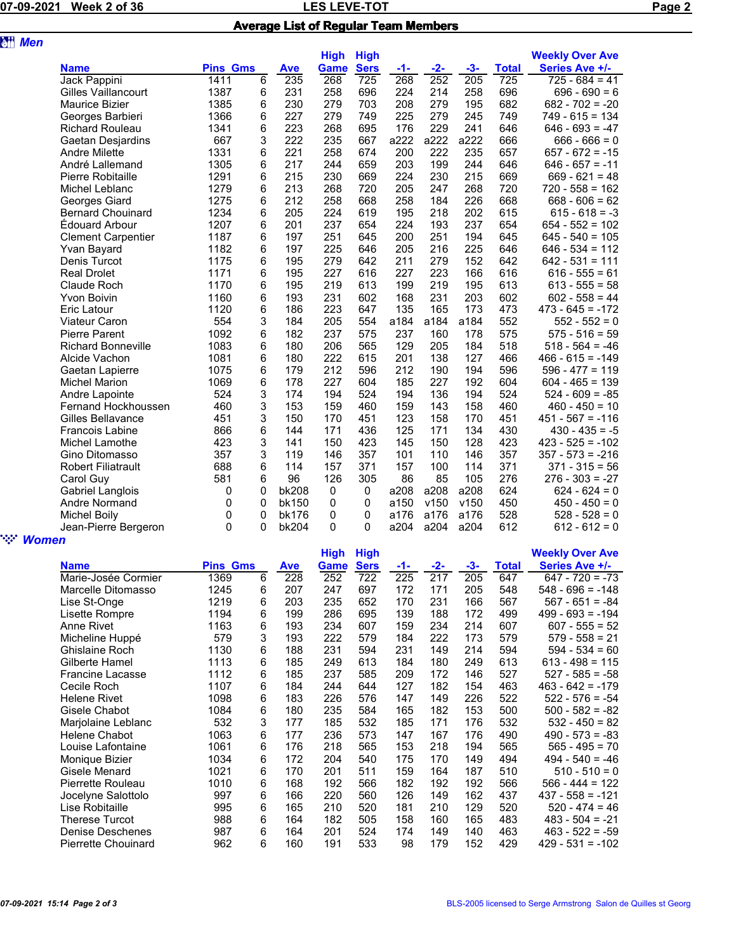## 07-09-2021 Week 2 of 36 **Details a set of 36** LES LEVE-TOT **CONTACT CONTROL** Average List of Regular Team Members

| <b>att</b> Men         |                            |                 |   |              |             |             |       |       |       |              |                        |
|------------------------|----------------------------|-----------------|---|--------------|-------------|-------------|-------|-------|-------|--------------|------------------------|
|                        |                            |                 |   |              | <b>High</b> | <b>High</b> |       |       |       |              | <b>Weekly Over Ave</b> |
|                        | <b>Name</b>                | <b>Pins Gms</b> |   | <b>Ave</b>   | <b>Game</b> | <b>Sers</b> | $-1-$ | $-2-$ | $-3-$ | <b>Total</b> | Series Ave +/-         |
|                        | Jack Pappini               | 1411            | 6 | 235          | 268         | 725         | 268   | 252   | 205   | 725          | $725 - 684 = 41$       |
|                        | <b>Gilles Vaillancourt</b> | 1387            | 6 | 231          | 258         | 696         | 224   | 214   | 258   | 696          | $696 - 690 = 6$        |
|                        | Maurice Bizier             | 1385            | 6 | 230          | 279         | 703         | 208   | 279   | 195   | 682          | $682 - 702 = -20$      |
|                        | Georges Barbieri           | 1366            | 6 | 227          | 279         | 749         | 225   | 279   | 245   | 749          | $749 - 615 = 134$      |
|                        | <b>Richard Rouleau</b>     | 1341            | 6 | 223          | 268         | 695         | 176   | 229   | 241   | 646          | $646 - 693 = -47$      |
|                        | Gaetan Desjardins          | 667             | 3 | 222          | 235         | 667         | a222  | a222  | a222  | 666          | $666 - 666 = 0$        |
|                        | <b>Andre Milette</b>       | 1331            | 6 | 221          | 258         | 674         | 200   | 222   | 235   | 657          | $657 - 672 = -15$      |
|                        | André Lallemand            | 1305            | 6 | 217          | 244         | 659         | 203   | 199   | 244   | 646          | $646 - 657 = -11$      |
|                        | Pierre Robitaille          | 1291            | 6 | 215          | 230         | 669         | 224   | 230   | 215   | 669          | $669 - 621 = 48$       |
|                        | Michel Leblanc             | 1279            | 6 | 213          | 268         | 720         | 205   | 247   | 268   | 720          | $720 - 558 = 162$      |
|                        | Georges Giard              | 1275            | 6 | 212          | 258         | 668         | 258   | 184   | 226   | 668          | $668 - 606 = 62$       |
|                        | <b>Bernard Chouinard</b>   | 1234            | 6 | 205          | 224         | 619         | 195   | 218   | 202   | 615          | $615 - 618 = -3$       |
|                        | Édouard Arbour             | 1207            | 6 | 201          | 237         | 654         | 224   | 193   | 237   | 654          | $654 - 552 = 102$      |
|                        | <b>Clement Carpentier</b>  | 1187            | 6 | 197          | 251         | 645         | 200   | 251   | 194   | 645          | $645 - 540 = 105$      |
|                        | <b>Yvan Bayard</b>         | 1182            | 6 | 197          | 225         | 646         | 205   | 216   | 225   | 646          | $646 - 534 = 112$      |
|                        | Denis Turcot               | 1175            | 6 | 195          | 279         | 642         | 211   | 279   | 152   | 642          | $642 - 531 = 111$      |
|                        | <b>Real Drolet</b>         | 1171            | 6 | 195          | 227         | 616         | 227   | 223   | 166   | 616          | $616 - 555 = 61$       |
|                        | Claude Roch                | 1170            | 6 | 195          | 219         | 613         | 199   | 219   | 195   | 613          | $613 - 555 = 58$       |
|                        | <b>Yvon Boivin</b>         | 1160            | 6 | 193          | 231         | 602         | 168   | 231   | 203   | 602          | $602 - 558 = 44$       |
|                        | Eric Latour                | 1120            | 6 | 186          | 223         | 647         | 135   | 165   | 173   | 473          | $473 - 645 = -172$     |
|                        | Viateur Caron              | 554             | 3 | 184          | 205         | 554         | a184  | a184  | a184  | 552          | $552 - 552 = 0$        |
|                        | <b>Pierre Parent</b>       | 1092            | 6 | 182          | 237         | 575         | 237   | 160   | 178   | 575          | $575 - 516 = 59$       |
|                        | <b>Richard Bonneville</b>  | 1083            | 6 | 180          | 206         | 565         | 129   | 205   | 184   | 518          | $518 - 564 = -46$      |
|                        | Alcide Vachon              | 1081            | 6 | 180          | 222         | 615         | 201   | 138   | 127   | 466          | $466 - 615 = -149$     |
|                        | Gaetan Lapierre            | 1075            | 6 | 179          | 212         | 596         | 212   | 190   | 194   | 596          | $596 - 477 = 119$      |
|                        | <b>Michel Marion</b>       | 1069            | 6 | 178          | 227         | 604         | 185   | 227   | 192   | 604          | $604 - 465 = 139$      |
|                        | Andre Lapointe             | 524             | 3 | 174          | 194         | 524         | 194   | 136   | 194   | 524          | $524 - 609 = -85$      |
|                        | Fernand Hockhoussen        | 460             | 3 | 153          | 159         | 460         | 159   | 143   | 158   | 460          | $460 - 450 = 10$       |
|                        | Gilles Bellavance          | 451             | 3 | 150          | 170         | 451         | 123   | 158   | 170   | 451          | $451 - 567 = -116$     |
|                        | <b>Francois Labine</b>     | 866             | 6 | 144          | 171         | 436         | 125   | 171   | 134   | 430          | $430 - 435 = -5$       |
|                        | Michel Lamothe             | 423             | 3 | 141          | 150         | 423         | 145   | 150   | 128   | 423          | $423 - 525 = -102$     |
|                        | Gino Ditomasso             | 357             | 3 | 119          | 146         | 357         | 101   | 110   | 146   | 357          | $357 - 573 = -216$     |
|                        | <b>Robert Filiatrault</b>  | 688             | 6 | 114          | 157         | 371         | 157   | 100   | 114   | 371          | $371 - 315 = 56$       |
|                        | Carol Guy                  | 581             | 6 | 96           | 126         | 305         | 86    | 85    | 105   | 276          | $276 - 303 = -27$      |
|                        | Gabriel Langlois           | 0               | 0 | <b>bk208</b> | 0           | 0           | a208  | a208  | a208  | 624          | $624 - 624 = 0$        |
|                        | Andre Normand              | 0               | 0 | bk150        | 0           | 0           | a150  | v150  | v150  | 450          | $450 - 450 = 0$        |
|                        | <b>Michel Boily</b>        | 0               | 0 | bk176        | 0           | 0           | a176  | a176  | a176  | 528          | $528 - 528 = 0$        |
|                        | Jean-Pierre Bergeron       | 0               | 0 | bk204        | $\mathbf 0$ | 0           | a204  | a204  | a204  | 612          | $612 - 612 = 0$        |
| ` <sup>:</sup> ∵ Women |                            |                 |   |              |             |             |       |       |       |              |                        |

|                         |                 |   |            | <b>High</b> | <b>High</b> |     |       |       |       | <b>Weekly Over Ave</b> |
|-------------------------|-----------------|---|------------|-------------|-------------|-----|-------|-------|-------|------------------------|
| <b>Name</b>             | <b>Pins Gms</b> |   | <b>Ave</b> | Game        | <b>Sers</b> | -1- | $-2-$ | $-3-$ | Total | Series Ave +/-         |
| Marie-Josée Cormier     | 1369            | 6 | 228        | 252         | 722         | 225 | 217   | 205   | 647   | $647 - 720 = -73$      |
| Marcelle Ditomasso      | 1245            | 6 | 207        | 247         | 697         | 172 | 171   | 205   | 548   | $548 - 696 = -148$     |
| Lise St-Onge            | 1219            | 6 | 203        | 235         | 652         | 170 | 231   | 166   | 567   | $567 - 651 = -84$      |
| Lisette Rompre          | 1194            | 6 | 199        | 286         | 695         | 139 | 188   | 172   | 499   | $499 - 693 = -194$     |
| Anne Rivet              | 1163            | 6 | 193        | 234         | 607         | 159 | 234   | 214   | 607   | $607 - 555 = 52$       |
| Micheline Huppé         | 579             | 3 | 193        | 222         | 579         | 184 | 222   | 173   | 579   | $579 - 558 = 21$       |
| Ghislaine Roch          | 1130            | 6 | 188        | 231         | 594         | 231 | 149   | 214   | 594   | $594 - 534 = 60$       |
| Gilberte Hamel          | 1113            | 6 | 185        | 249         | 613         | 184 | 180   | 249   | 613   | $613 - 498 = 115$      |
| <b>Francine Lacasse</b> | 1112            | 6 | 185        | 237         | 585         | 209 | 172   | 146   | 527   | $527 - 585 = -58$      |
| Cecile Roch             | 1107            | 6 | 184        | 244         | 644         | 127 | 182   | 154   | 463   | $463 - 642 = -179$     |
| <b>Helene Rivet</b>     | 1098            | 6 | 183        | 226         | 576         | 147 | 149   | 226   | 522   | $522 - 576 = -54$      |
| Gisele Chabot           | 1084            | 6 | 180        | 235         | 584         | 165 | 182   | 153   | 500   | $500 - 582 = -82$      |
| Marjolaine Leblanc      | 532             | 3 | 177        | 185         | 532         | 185 | 171   | 176   | 532   | $532 - 450 = 82$       |
| Helene Chabot           | 1063            | 6 | 177        | 236         | 573         | 147 | 167   | 176   | 490   | $490 - 573 = -83$      |
| Louise Lafontaine       | 1061            | 6 | 176        | 218         | 565         | 153 | 218   | 194   | 565   | $565 - 495 = 70$       |
| Monique Bizier          | 1034            | 6 | 172        | 204         | 540         | 175 | 170   | 149   | 494   | $494 - 540 = -46$      |
| Gisele Menard           | 1021            | 6 | 170        | 201         | 511         | 159 | 164   | 187   | 510   | $510 - 510 = 0$        |
| Pierrette Rouleau       | 1010            | 6 | 168        | 192         | 566         | 182 | 192   | 192   | 566   | $566 - 444 = 122$      |
| Jocelyne Salottolo      | 997             | 6 | 166        | 220         | 560         | 126 | 149   | 162   | 437   | $437 - 558 = -121$     |
| Lise Robitaille         | 995             | 6 | 165        | 210         | 520         | 181 | 210   | 129   | 520   | $520 - 474 = 46$       |
| <b>Therese Turcot</b>   | 988             | 6 | 164        | 182         | 505         | 158 | 160   | 165   | 483   | $483 - 504 = -21$      |
| Denise Deschenes        | 987             | 6 | 164        | 201         | 524         | 174 | 149   | 140   | 463   | $463 - 522 = -59$      |
| Pierrette Chouinard     | 962             | 6 | 160        | 191         | 533         | 98  | 179   | 152   | 429   | $429 - 531 = -102$     |